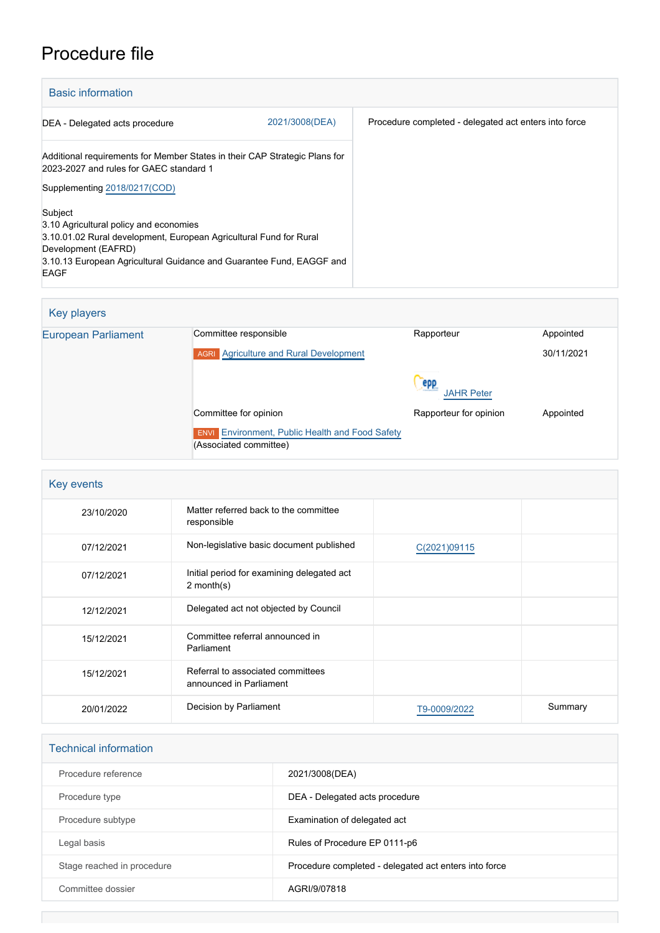## Procedure file

| <b>Basic information</b>                                                                                                                                                                                                              |                                                                         |  |  |
|---------------------------------------------------------------------------------------------------------------------------------------------------------------------------------------------------------------------------------------|-------------------------------------------------------------------------|--|--|
| DEA - Delegated acts procedure                                                                                                                                                                                                        | 2021/3008(DEA)<br>Procedure completed - delegated act enters into force |  |  |
| Additional requirements for Member States in their CAP Strategic Plans for<br>2023-2027 and rules for GAEC standard 1                                                                                                                 |                                                                         |  |  |
| Supplementing 2018/0217(COD)                                                                                                                                                                                                          |                                                                         |  |  |
| Subject<br>3.10 Agricultural policy and economies<br>3.10.01.02 Rural development, European Agricultural Fund for Rural<br>Development (EAFRD)<br>3.10.13 European Agricultural Guidance and Guarantee Fund, EAGGF and<br><b>EAGF</b> |                                                                         |  |  |

| Key players                |                                                                                  |                          |            |
|----------------------------|----------------------------------------------------------------------------------|--------------------------|------------|
| <b>European Parliament</b> | Committee responsible                                                            | Rapporteur               | Appointed  |
|                            | <b>AGRI</b> Agriculture and Rural Development                                    |                          | 30/11/2021 |
|                            |                                                                                  | epp<br><b>JAHR Peter</b> |            |
|                            | Committee for opinion                                                            | Rapporteur for opinion   | Appointed  |
|                            | <b>ENVI</b> Environment, Public Health and Food Safety<br>(Associated committee) |                          |            |

| Key events |                                                              |              |         |
|------------|--------------------------------------------------------------|--------------|---------|
| 23/10/2020 | Matter referred back to the committee<br>responsible         |              |         |
| 07/12/2021 | Non-legislative basic document published                     | C(2021)09115 |         |
| 07/12/2021 | Initial period for examining delegated act<br>$2$ month(s)   |              |         |
| 12/12/2021 | Delegated act not objected by Council                        |              |         |
| 15/12/2021 | Committee referral announced in<br>Parliament                |              |         |
| 15/12/2021 | Referral to associated committees<br>announced in Parliament |              |         |
| 20/01/2022 | Decision by Parliament                                       | T9-0009/2022 | Summary |

| <b>Technical information</b> |                                                       |
|------------------------------|-------------------------------------------------------|
| Procedure reference          | 2021/3008(DEA)                                        |
| Procedure type               | DEA - Delegated acts procedure                        |
| Procedure subtype            | Examination of delegated act                          |
| Legal basis                  | Rules of Procedure EP 0111-p6                         |
| Stage reached in procedure   | Procedure completed - delegated act enters into force |
| Committee dossier            | AGRI/9/07818                                          |